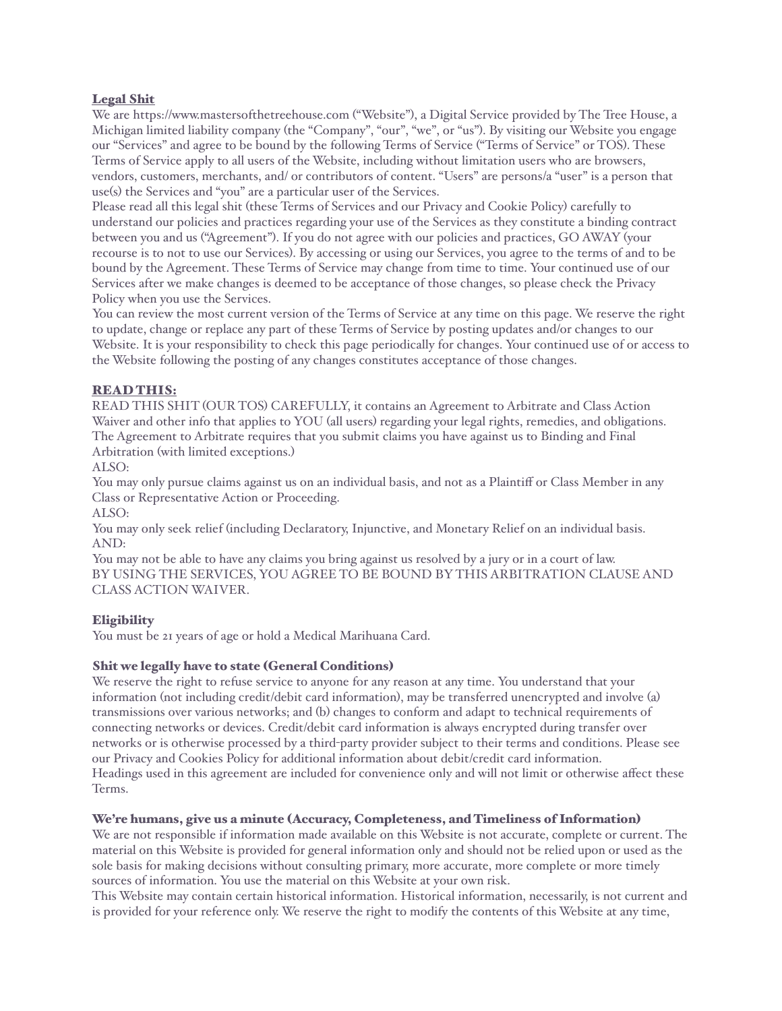# Legal Shit

We are https://www.mastersofthetreehouse.com ("Website"), a Digital Service provided by The Tree House, a Michigan limited liability company (the "Company", "our", "we", or "us"). By visiting our Website you engage our "Services" and agree to be bound by the following Terms of Service ("Terms of Service" or TOS). These Terms of Service apply to all users of the Website, including without limitation users who are browsers, vendors, customers, merchants, and/ or contributors of content. "Users" are persons/a "user" is a person that use(s) the Services and "you" are a particular user of the Services.

Please read all this legal shit (these Terms of Services and our Privacy and Cookie Policy) carefully to understand our policies and practices regarding your use of the Services as they constitute a binding contract between you and us ("Agreement"). If you do not agree with our policies and practices, GO AWAY (your recourse is to not to use our Services). By accessing or using our Services, you agree to the terms of and to be bound by the Agreement. These Terms of Service may change from time to time. Your continued use of our Services after we make changes is deemed to be acceptance of those changes, so please check the Privacy Policy when you use the Services.

You can review the most current version of the Terms of Service at any time on this page. We reserve the right to update, change or replace any part of these Terms of Service by posting updates and/or changes to our Website. It is your responsibility to check this page periodically for changes. Your continued use of or access to the Website following the posting of any changes constitutes acceptance of those changes.

## READ THIS:

READ THIS SHIT (OUR TOS) CAREFULLY, it contains an Agreement to Arbitrate and Class Action Waiver and other info that applies to YOU (all users) regarding your legal rights, remedies, and obligations. The Agreement to Arbitrate requires that you submit claims you have against us to Binding and Final Arbitration (with limited exceptions.)

ALSO:

You may only pursue claims against us on an individual basis, and not as a Plaintiff or Class Member in any Class or Representative Action or Proceeding.

ALSO:

You may only seek relief (including Declaratory, Injunctive, and Monetary Relief on an individual basis. AND:

You may not be able to have any claims you bring against us resolved by a jury or in a court of law. BY USING THE SERVICES, YOU AGREE TO BE BOUND BY THIS ARBITRATION CLAUSE AND CLASS ACTION WAIVER.

### **Eligibility**

You must be 21 years of age or hold a Medical Marihuana Card.

### Shit we legally have to state (General Conditions)

We reserve the right to refuse service to anyone for any reason at any time. You understand that your information (not including credit/debit card information), may be transferred unencrypted and involve (a) transmissions over various networks; and (b) changes to conform and adapt to technical requirements of connecting networks or devices. Credit/debit card information is always encrypted during transfer over networks or is otherwise processed by a third-party provider subject to their terms and conditions. Please see our Privacy and Cookies Policy for additional information about debit/credit card information. Headings used in this agreement are included for convenience only and will not limit or otherwise affect these Terms.

## We're humans, give us a minute (Accuracy, Completeness, and Timeliness of Information)

We are not responsible if information made available on this Website is not accurate, complete or current. The material on this Website is provided for general information only and should not be relied upon or used as the sole basis for making decisions without consulting primary, more accurate, more complete or more timely sources of information. You use the material on this Website at your own risk.

This Website may contain certain historical information. Historical information, necessarily, is not current and is provided for your reference only. We reserve the right to modify the contents of this Website at any time,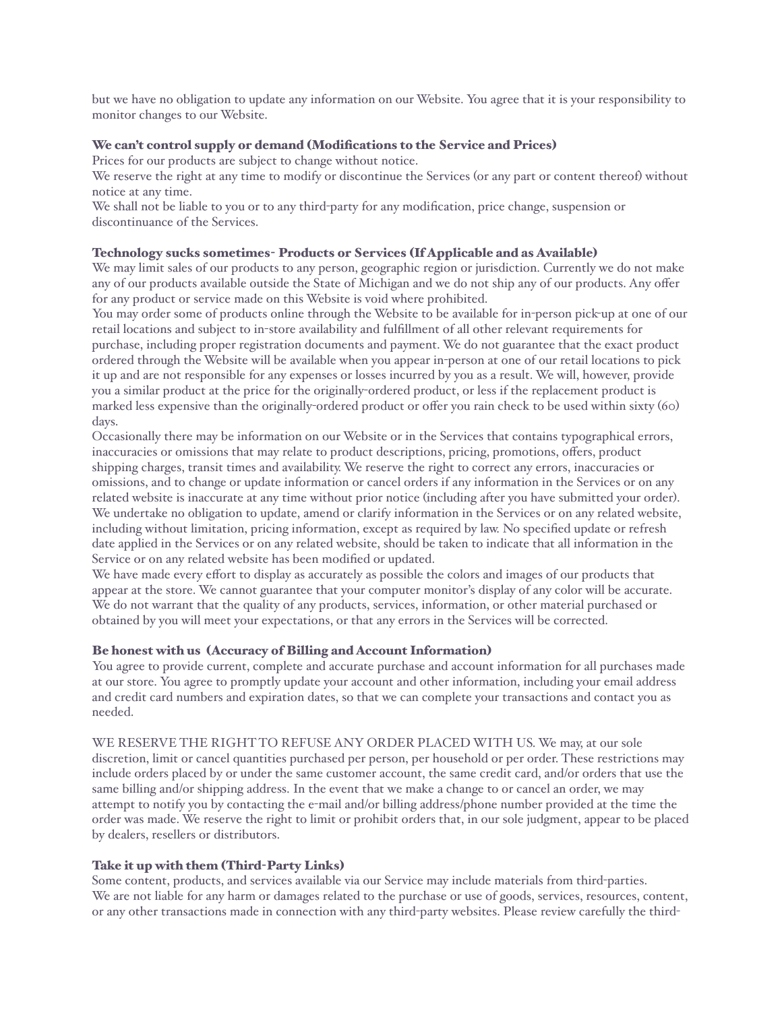but we have no obligation to update any information on our Website. You agree that it is your responsibility to monitor changes to our Website.

### We can't control supply or demand (Modifications to the Service and Prices)

Prices for our products are subject to change without notice.

We reserve the right at any time to modify or discontinue the Services (or any part or content thereof) without notice at any time.

We shall not be liable to you or to any third-party for any modification, price change, suspension or discontinuance of the Services.

#### Technology sucks sometimes- Products or Services (If Applicable and as Available)

We may limit sales of our products to any person, geographic region or jurisdiction. Currently we do not make any of our products available outside the State of Michigan and we do not ship any of our products. Any offer for any product or service made on this Website is void where prohibited.

You may order some of products online through the Website to be available for in-person pick-up at one of our retail locations and subject to in-store availability and fulfillment of all other relevant requirements for purchase, including proper registration documents and payment. We do not guarantee that the exact product ordered through the Website will be available when you appear in-person at one of our retail locations to pick it up and are not responsible for any expenses or losses incurred by you as a result. We will, however, provide you a similar product at the price for the originally-ordered product, or less if the replacement product is marked less expensive than the originally-ordered product or offer you rain check to be used within sixty (60) days.

Occasionally there may be information on our Website or in the Services that contains typographical errors, inaccuracies or omissions that may relate to product descriptions, pricing, promotions, offers, product shipping charges, transit times and availability. We reserve the right to correct any errors, inaccuracies or omissions, and to change or update information or cancel orders if any information in the Services or on any related website is inaccurate at any time without prior notice (including after you have submitted your order). We undertake no obligation to update, amend or clarify information in the Services or on any related website, including without limitation, pricing information, except as required by law. No specified update or refresh date applied in the Services or on any related website, should be taken to indicate that all information in the Service or on any related website has been modified or updated.

We have made every effort to display as accurately as possible the colors and images of our products that appear at the store. We cannot guarantee that your computer monitor's display of any color will be accurate. We do not warrant that the quality of any products, services, information, or other material purchased or obtained by you will meet your expectations, or that any errors in the Services will be corrected.

#### Be honest with us (Accuracy of Billing and Account Information)

You agree to provide current, complete and accurate purchase and account information for all purchases made at our store. You agree to promptly update your account and other information, including your email address and credit card numbers and expiration dates, so that we can complete your transactions and contact you as needed.

WE RESERVE THE RIGHT TO REFUSE ANY ORDER PLACED WITH US. We may, at our sole discretion, limit or cancel quantities purchased per person, per household or per order. These restrictions may include orders placed by or under the same customer account, the same credit card, and/or orders that use the same billing and/or shipping address. In the event that we make a change to or cancel an order, we may attempt to notify you by contacting the e-mail and/or billing address/phone number provided at the time the order was made. We reserve the right to limit or prohibit orders that, in our sole judgment, appear to be placed by dealers, resellers or distributors.

### Take it up with them (Third-Party Links)

Some content, products, and services available via our Service may include materials from third-parties. We are not liable for any harm or damages related to the purchase or use of goods, services, resources, content, or any other transactions made in connection with any third-party websites. Please review carefully the third-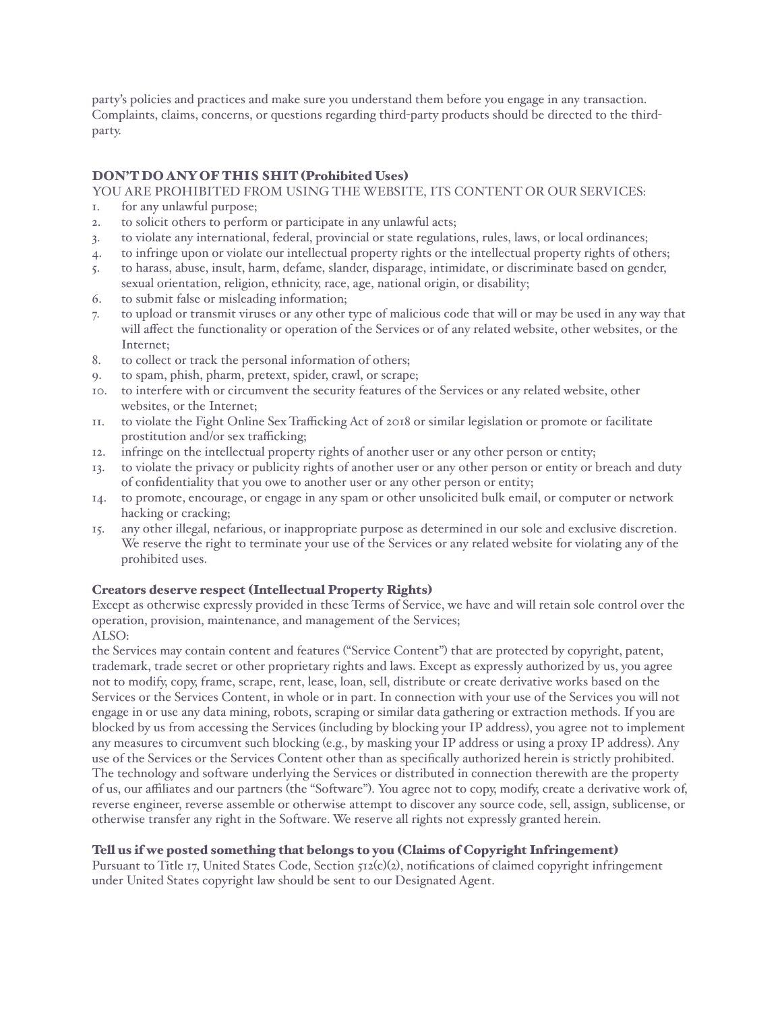party's policies and practices and make sure you understand them before you engage in any transaction. Complaints, claims, concerns, or questions regarding third-party products should be directed to the thirdparty.

# DON'T DO ANY OF THIS SHIT (Prohibited Uses)

YOU ARE PROHIBITED FROM USING THE WEBSITE, ITS CONTENT OR OUR SERVICES:

- 1. for any unlawful purpose;
- 2. to solicit others to perform or participate in any unlawful acts;
- 3. to violate any international, federal, provincial or state regulations, rules, laws, or local ordinances;
- 4. to infringe upon or violate our intellectual property rights or the intellectual property rights of others;
- 5. to harass, abuse, insult, harm, defame, slander, disparage, intimidate, or discriminate based on gender, sexual orientation, religion, ethnicity, race, age, national origin, or disability;
- 6. to submit false or misleading information;
- 7. to upload or transmit viruses or any other type of malicious code that will or may be used in any way that will affect the functionality or operation of the Services or of any related website, other websites, or the Internet;
- 8. to collect or track the personal information of others;
- 9. to spam, phish, pharm, pretext, spider, crawl, or scrape;
- 10. to interfere with or circumvent the security features of the Services or any related website, other websites, or the Internet;
- 11. to violate the Fight Online Sex Trafficking Act of 2018 or similar legislation or promote or facilitate prostitution and/or sex trafficking;
- 12. infringe on the intellectual property rights of another user or any other person or entity;
- 13. to violate the privacy or publicity rights of another user or any other person or entity or breach and duty of confidentiality that you owe to another user or any other person or entity;
- 14. to promote, encourage, or engage in any spam or other unsolicited bulk email, or computer or network hacking or cracking;
- 15. any other illegal, nefarious, or inappropriate purpose as determined in our sole and exclusive discretion. We reserve the right to terminate your use of the Services or any related website for violating any of the prohibited uses.

# Creators deserve respect (Intellectual Property Rights)

Except as otherwise expressly provided in these Terms of Service, we have and will retain sole control over the operation, provision, maintenance, and management of the Services; ALSO:

the Services may contain content and features ("Service Content") that are protected by copyright, patent, trademark, trade secret or other proprietary rights and laws. Except as expressly authorized by us, you agree not to modify, copy, frame, scrape, rent, lease, loan, sell, distribute or create derivative works based on the Services or the Services Content, in whole or in part. In connection with your use of the Services you will not engage in or use any data mining, robots, scraping or similar data gathering or extraction methods. If you are blocked by us from accessing the Services (including by blocking your IP address), you agree not to implement any measures to circumvent such blocking (e.g., by masking your IP address or using a proxy IP address). Any use of the Services or the Services Content other than as specifically authorized herein is strictly prohibited. The technology and software underlying the Services or distributed in connection therewith are the property of us, our affiliates and our partners (the "Software"). You agree not to copy, modify, create a derivative work of, reverse engineer, reverse assemble or otherwise attempt to discover any source code, sell, assign, sublicense, or otherwise transfer any right in the Software. We reserve all rights not expressly granted herein.

# Tell us if we posted something that belongs to you (Claims of Copyright Infringement)

Pursuant to Title 17, United States Code, Section 512(c)(2), notifications of claimed copyright infringement under United States copyright law should be sent to our Designated Agent.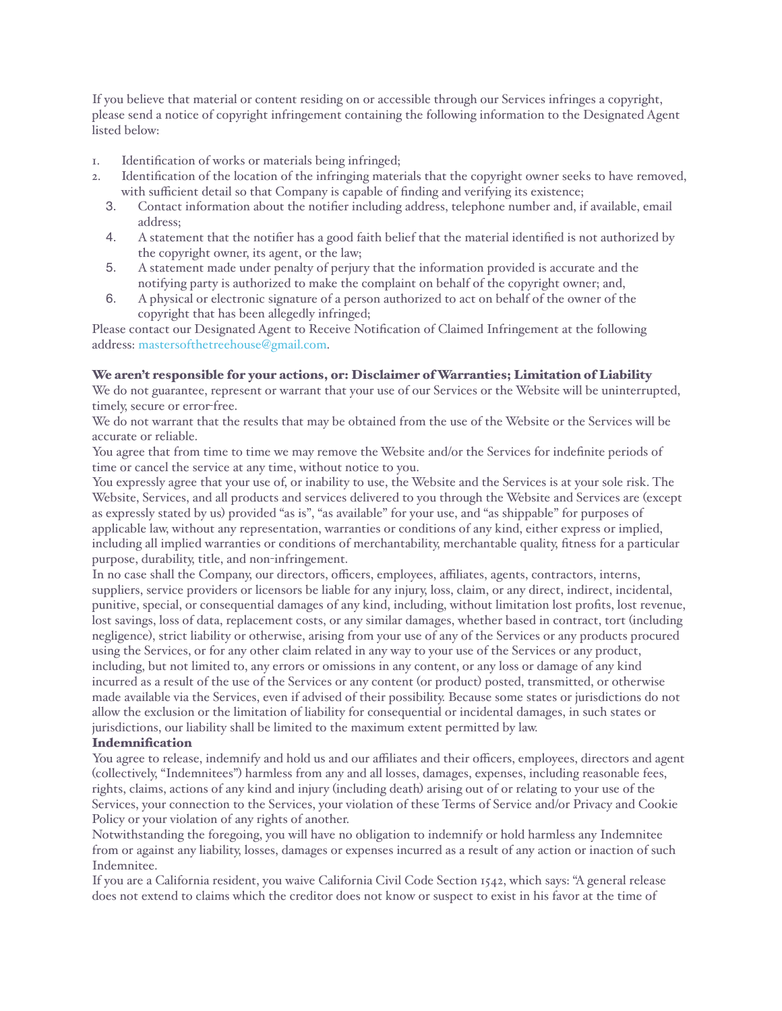If you believe that material or content residing on or accessible through our Services infringes a copyright, please send a notice of copyright infringement containing the following information to the Designated Agent listed below:

- 1. Identification of works or materials being infringed;
- 2. Identification of the location of the infringing materials that the copyright owner seeks to have removed, with sufficient detail so that Company is capable of finding and verifying its existence;
	- 3. Contact information about the notifier including address, telephone number and, if available, email address;
	- 4. A statement that the notifier has a good faith belief that the material identified is not authorized by the copyright owner, its agent, or the law;
	- 5. A statement made under penalty of perjury that the information provided is accurate and the notifying party is authorized to make the complaint on behalf of the copyright owner; and,
	- 6. A physical or electronic signature of a person authorized to act on behalf of the owner of the copyright that has been allegedly infringed;

Please contact our Designated Agent to Receive Notification of Claimed Infringement at the following address: [mastersofthetreehouse@gmail.com.](mailto:Designated%20Agent)

#### We aren't responsible for your actions, or: Disclaimer of Warranties; Limitation of Liability

We do not guarantee, represent or warrant that your use of our Services or the Website will be uninterrupted, timely, secure or error-free.

We do not warrant that the results that may be obtained from the use of the Website or the Services will be accurate or reliable.

You agree that from time to time we may remove the Website and/or the Services for indefinite periods of time or cancel the service at any time, without notice to you.

You expressly agree that your use of, or inability to use, the Website and the Services is at your sole risk. The Website, Services, and all products and services delivered to you through the Website and Services are (except as expressly stated by us) provided "as is", "as available" for your use, and "as shippable" for purposes of applicable law, without any representation, warranties or conditions of any kind, either express or implied, including all implied warranties or conditions of merchantability, merchantable quality, fitness for a particular purpose, durability, title, and non-infringement.

In no case shall the Company, our directors, officers, employees, affiliates, agents, contractors, interns, suppliers, service providers or licensors be liable for any injury, loss, claim, or any direct, indirect, incidental, punitive, special, or consequential damages of any kind, including, without limitation lost profits, lost revenue, lost savings, loss of data, replacement costs, or any similar damages, whether based in contract, tort (including negligence), strict liability or otherwise, arising from your use of any of the Services or any products procured using the Services, or for any other claim related in any way to your use of the Services or any product, including, but not limited to, any errors or omissions in any content, or any loss or damage of any kind incurred as a result of the use of the Services or any content (or product) posted, transmitted, or otherwise made available via the Services, even if advised of their possibility. Because some states or jurisdictions do not allow the exclusion or the limitation of liability for consequential or incidental damages, in such states or jurisdictions, our liability shall be limited to the maximum extent permitted by law.

#### Indemnification

You agree to release, indemnify and hold us and our affiliates and their officers, employees, directors and agent (collectively, "Indemnitees") harmless from any and all losses, damages, expenses, including reasonable fees, rights, claims, actions of any kind and injury (including death) arising out of or relating to your use of the Services, your connection to the Services, your violation of these Terms of Service and/or Privacy and Cookie Policy or your violation of any rights of another.

Notwithstanding the foregoing, you will have no obligation to indemnify or hold harmless any Indemnitee from or against any liability, losses, damages or expenses incurred as a result of any action or inaction of such Indemnitee.

If you are a California resident, you waive California Civil Code Section 1542, which says: "A general release does not extend to claims which the creditor does not know or suspect to exist in his favor at the time of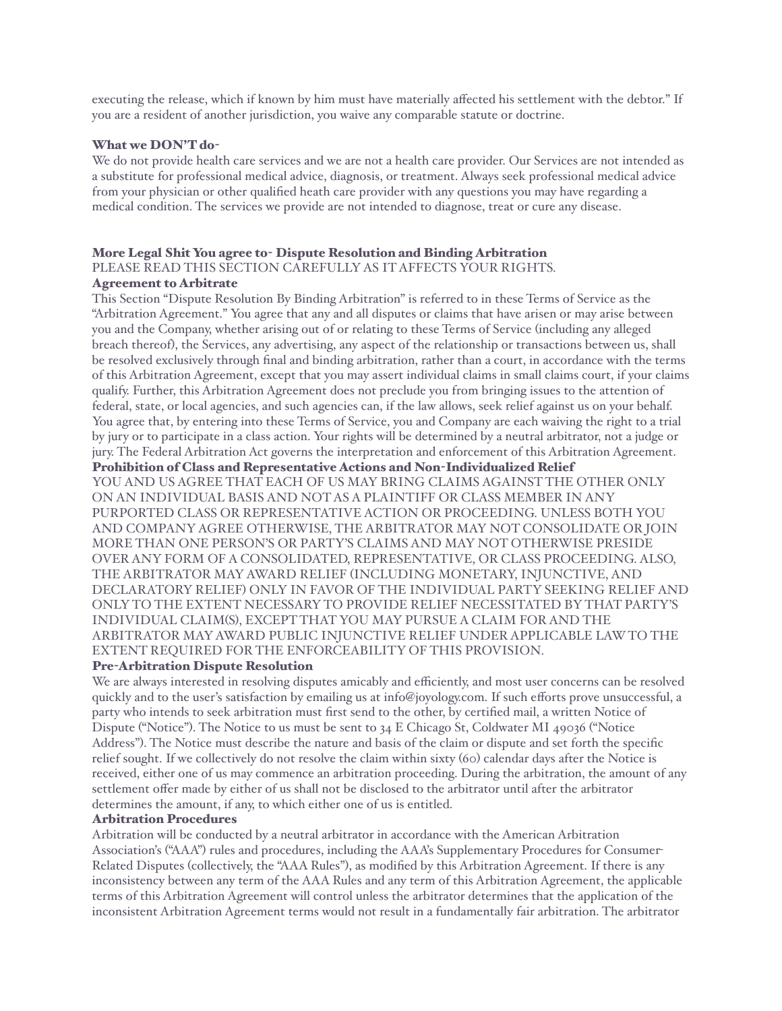executing the release, which if known by him must have materially affected his settlement with the debtor." If you are a resident of another jurisdiction, you waive any comparable statute or doctrine.

#### What we DON'T do-

We do not provide health care services and we are not a health care provider. Our Services are not intended as a substitute for professional medical advice, diagnosis, or treatment. Always seek professional medical advice from your physician or other qualified heath care provider with any questions you may have regarding a medical condition. The services we provide are not intended to diagnose, treat or cure any disease.

# More Legal Shit You agree to- Dispute Resolution and Binding Arbitration

PLEASE READ THIS SECTION CAREFULLY AS IT AFFECTS YOUR RIGHTS. Agreement to Arbitrate

This Section "Dispute Resolution By Binding Arbitration" is referred to in these Terms of Service as the "Arbitration Agreement." You agree that any and all disputes or claims that have arisen or may arise between you and the Company, whether arising out of or relating to these Terms of Service (including any alleged breach thereof), the Services, any advertising, any aspect of the relationship or transactions between us, shall be resolved exclusively through final and binding arbitration, rather than a court, in accordance with the terms of this Arbitration Agreement, except that you may assert individual claims in small claims court, if your claims qualify. Further, this Arbitration Agreement does not preclude you from bringing issues to the attention of federal, state, or local agencies, and such agencies can, if the law allows, seek relief against us on your behalf. You agree that, by entering into these Terms of Service, you and Company are each waiving the right to a trial by jury or to participate in a class action. Your rights will be determined by a neutral arbitrator, not a judge or jury. The Federal Arbitration Act governs the interpretation and enforcement of this Arbitration Agreement. Prohibition of Class and Representative Actions and Non-Individualized Relief YOU AND US AGREE THAT EACH OF US MAY BRING CLAIMS AGAINST THE OTHER ONLY ON AN INDIVIDUAL BASIS AND NOT AS A PLAINTIFF OR CLASS MEMBER IN ANY PURPORTED CLASS OR REPRESENTATIVE ACTION OR PROCEEDING. UNLESS BOTH YOU AND COMPANY AGREE OTHERWISE, THE ARBITRATOR MAY NOT CONSOLIDATE OR JOIN MORE THAN ONE PERSON'S OR PARTY'S CLAIMS AND MAY NOT OTHERWISE PRESIDE OVER ANY FORM OF A CONSOLIDATED, REPRESENTATIVE, OR CLASS PROCEEDING. ALSO, THE ARBITRATOR MAY AWARD RELIEF (INCLUDING MONETARY, INJUNCTIVE, AND DECLARATORY RELIEF) ONLY IN FAVOR OF THE INDIVIDUAL PARTY SEEKING RELIEF AND ONLY TO THE EXTENT NECESSARY TO PROVIDE RELIEF NECESSITATED BY THAT PARTY'S INDIVIDUAL CLAIM(S), EXCEPT THAT YOU MAY PURSUE A CLAIM FOR AND THE ARBITRATOR MAY AWARD PUBLIC INJUNCTIVE RELIEF UNDER APPLICABLE LAW TO THE EXTENT REQUIRED FOR THE ENFORCEABILITY OF THIS PROVISION.

## Pre-Arbitration Dispute Resolution

We are always interested in resolving disputes amicably and efficiently, and most user concerns can be resolved quickly and to the user's satisfaction by emailing us at info@joyology.com. If such efforts prove unsuccessful, a party who intends to seek arbitration must first send to the other, by certified mail, a written Notice of Dispute ("Notice"). The Notice to us must be sent to 34 E Chicago St, Coldwater MI 49036 ("Notice Address"). The Notice must describe the nature and basis of the claim or dispute and set forth the specific relief sought. If we collectively do not resolve the claim within sixty (60) calendar days after the Notice is received, either one of us may commence an arbitration proceeding. During the arbitration, the amount of any settlement offer made by either of us shall not be disclosed to the arbitrator until after the arbitrator determines the amount, if any, to which either one of us is entitled.

### Arbitration Procedures

Arbitration will be conducted by a neutral arbitrator in accordance with the American Arbitration Association's ("AAA") rules and procedures, including the AAA's Supplementary Procedures for Consumer-Related Disputes (collectively, the "AAA Rules"), as modified by this Arbitration Agreement. If there is any inconsistency between any term of the AAA Rules and any term of this Arbitration Agreement, the applicable terms of this Arbitration Agreement will control unless the arbitrator determines that the application of the inconsistent Arbitration Agreement terms would not result in a fundamentally fair arbitration. The arbitrator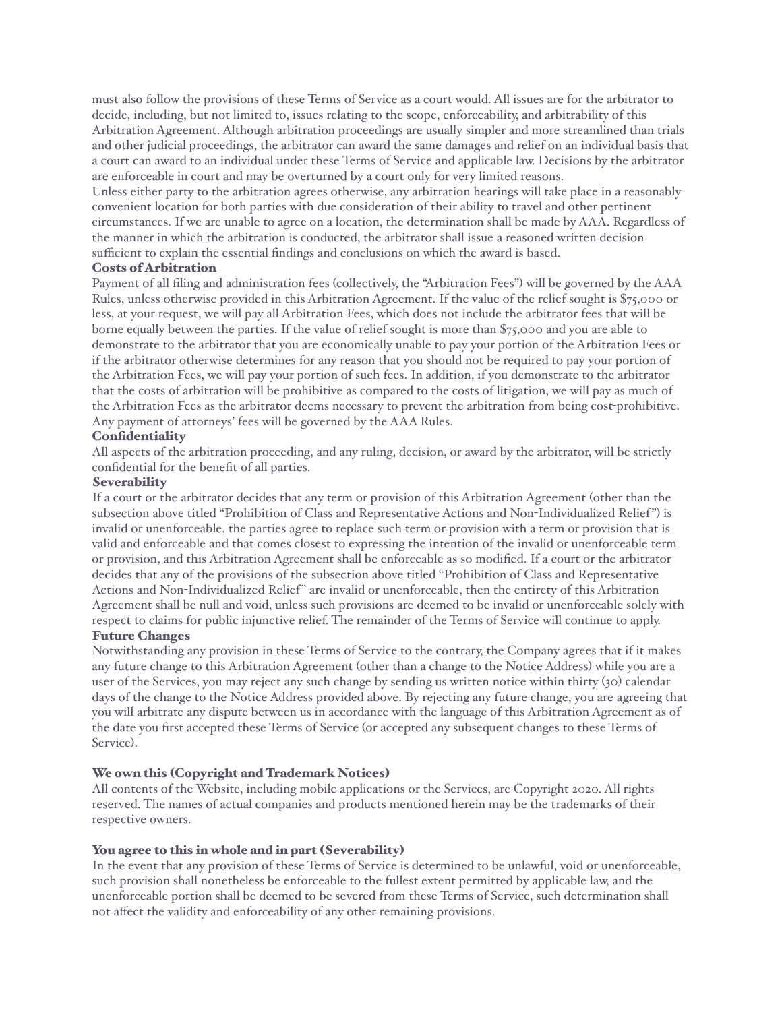must also follow the provisions of these Terms of Service as a court would. All issues are for the arbitrator to decide, including, but not limited to, issues relating to the scope, enforceability, and arbitrability of this Arbitration Agreement. Although arbitration proceedings are usually simpler and more streamlined than trials and other judicial proceedings, the arbitrator can award the same damages and relief on an individual basis that a court can award to an individual under these Terms of Service and applicable law. Decisions by the arbitrator are enforceable in court and may be overturned by a court only for very limited reasons.

Unless either party to the arbitration agrees otherwise, any arbitration hearings will take place in a reasonably convenient location for both parties with due consideration of their ability to travel and other pertinent circumstances. If we are unable to agree on a location, the determination shall be made by AAA. Regardless of the manner in which the arbitration is conducted, the arbitrator shall issue a reasoned written decision sufficient to explain the essential findings and conclusions on which the award is based.

## Costs of Arbitration

Payment of all filing and administration fees (collectively, the "Arbitration Fees") will be governed by the AAA Rules, unless otherwise provided in this Arbitration Agreement. If the value of the relief sought is \$75,000 or less, at your request, we will pay all Arbitration Fees, which does not include the arbitrator fees that will be borne equally between the parties. If the value of relief sought is more than \$75,000 and you are able to demonstrate to the arbitrator that you are economically unable to pay your portion of the Arbitration Fees or if the arbitrator otherwise determines for any reason that you should not be required to pay your portion of the Arbitration Fees, we will pay your portion of such fees. In addition, if you demonstrate to the arbitrator that the costs of arbitration will be prohibitive as compared to the costs of litigation, we will pay as much of the Arbitration Fees as the arbitrator deems necessary to prevent the arbitration from being cost-prohibitive. Any payment of attorneys' fees will be governed by the AAA Rules.

## **Confidentiality**

All aspects of the arbitration proceeding, and any ruling, decision, or award by the arbitrator, will be strictly confidential for the benefit of all parties.

### Severability

If a court or the arbitrator decides that any term or provision of this Arbitration Agreement (other than the subsection above titled "Prohibition of Class and Representative Actions and Non-Individualized Relief") is invalid or unenforceable, the parties agree to replace such term or provision with a term or provision that is valid and enforceable and that comes closest to expressing the intention of the invalid or unenforceable term or provision, and this Arbitration Agreement shall be enforceable as so modified. If a court or the arbitrator decides that any of the provisions of the subsection above titled "Prohibition of Class and Representative Actions and Non-Individualized Relief" are invalid or unenforceable, then the entirety of this Arbitration Agreement shall be null and void, unless such provisions are deemed to be invalid or unenforceable solely with respect to claims for public injunctive relief. The remainder of the Terms of Service will continue to apply.

### Future Changes

Notwithstanding any provision in these Terms of Service to the contrary, the Company agrees that if it makes any future change to this Arbitration Agreement (other than a change to the Notice Address) while you are a user of the Services, you may reject any such change by sending us written notice within thirty (30) calendar days of the change to the Notice Address provided above. By rejecting any future change, you are agreeing that you will arbitrate any dispute between us in accordance with the language of this Arbitration Agreement as of the date you first accepted these Terms of Service (or accepted any subsequent changes to these Terms of Service).

# We own this (Copyright and Trademark Notices)

All contents of the Website, including mobile applications or the Services, are Copyright 2020. All rights reserved. The names of actual companies and products mentioned herein may be the trademarks of their respective owners.

# You agree to this in whole and in part (Severability)

In the event that any provision of these Terms of Service is determined to be unlawful, void or unenforceable, such provision shall nonetheless be enforceable to the fullest extent permitted by applicable law, and the unenforceable portion shall be deemed to be severed from these Terms of Service, such determination shall not affect the validity and enforceability of any other remaining provisions.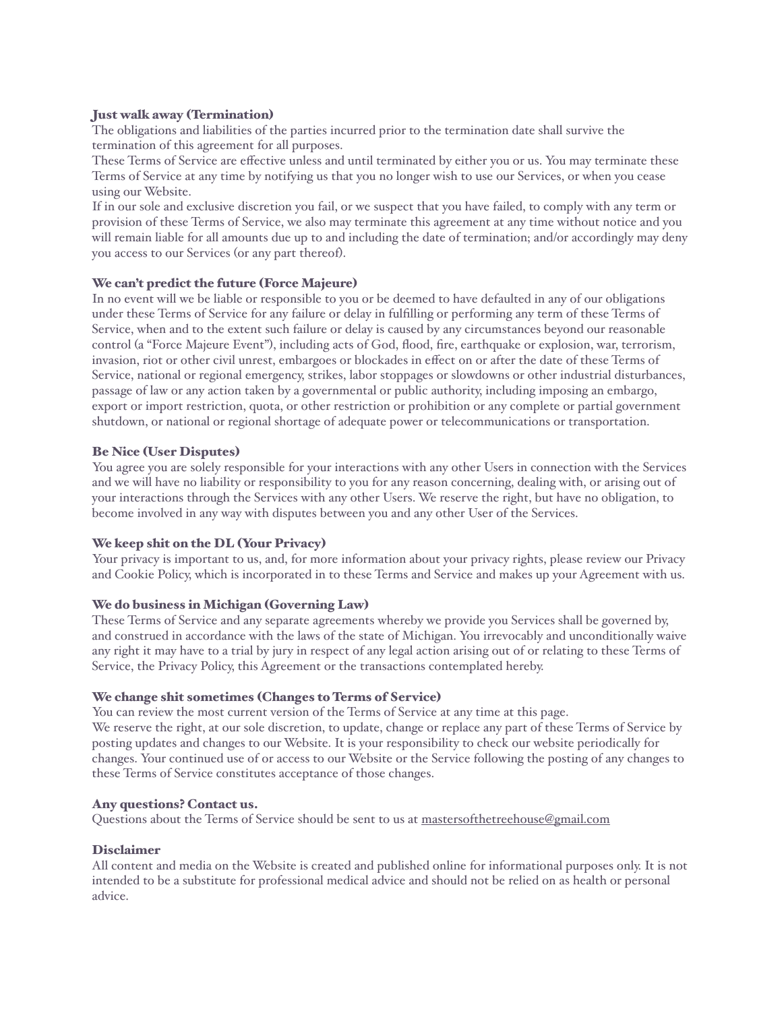### Just walk away (Termination)

The obligations and liabilities of the parties incurred prior to the termination date shall survive the termination of this agreement for all purposes.

These Terms of Service are effective unless and until terminated by either you or us. You may terminate these Terms of Service at any time by notifying us that you no longer wish to use our Services, or when you cease using our Website.

If in our sole and exclusive discretion you fail, or we suspect that you have failed, to comply with any term or provision of these Terms of Service, we also may terminate this agreement at any time without notice and you will remain liable for all amounts due up to and including the date of termination; and/or accordingly may deny you access to our Services (or any part thereof).

## We can't predict the future (Force Majeure)

In no event will we be liable or responsible to you or be deemed to have defaulted in any of our obligations under these Terms of Service for any failure or delay in fulfilling or performing any term of these Terms of Service, when and to the extent such failure or delay is caused by any circumstances beyond our reasonable control (a "Force Majeure Event"), including acts of God, flood, fire, earthquake or explosion, war, terrorism, invasion, riot or other civil unrest, embargoes or blockades in effect on or after the date of these Terms of Service, national or regional emergency, strikes, labor stoppages or slowdowns or other industrial disturbances, passage of law or any action taken by a governmental or public authority, including imposing an embargo, export or import restriction, quota, or other restriction or prohibition or any complete or partial government shutdown, or national or regional shortage of adequate power or telecommunications or transportation.

## Be Nice (User Disputes)

You agree you are solely responsible for your interactions with any other Users in connection with the Services and we will have no liability or responsibility to you for any reason concerning, dealing with, or arising out of your interactions through the Services with any other Users. We reserve the right, but have no obligation, to become involved in any way with disputes between you and any other User of the Services.

# We keep shit on the DL (Your Privacy)

Your privacy is important to us, and, for more information about your privacy rights, please review our Privacy and Cookie Policy, which is incorporated in to these Terms and Service and makes up your Agreement with us.

# We do business in Michigan (Governing Law)

These Terms of Service and any separate agreements whereby we provide you Services shall be governed by, and construed in accordance with the laws of the state of Michigan. You irrevocably and unconditionally waive any right it may have to a trial by jury in respect of any legal action arising out of or relating to these Terms of Service, the Privacy Policy, this Agreement or the transactions contemplated hereby.

### We change shit sometimes (Changes to Terms of Service)

You can review the most current version of the Terms of Service at any time at this page. We reserve the right, at our sole discretion, to update, change or replace any part of these Terms of Service by posting updates and changes to our Website. It is your responsibility to check our website periodically for changes. Your continued use of or access to our Website or the Service following the posting of any changes to these Terms of Service constitutes acceptance of those changes.

### Any questions? Contact us.

Questions about the Terms of Service should be sent to us at [mastersofthetreehouse@gmail.com](mailto:mastersofthetreehouse@gmail.com)

### Disclaimer

All content and media on the Website is created and published online for informational purposes only. It is not intended to be a substitute for professional medical advice and should not be relied on as health or personal advice.